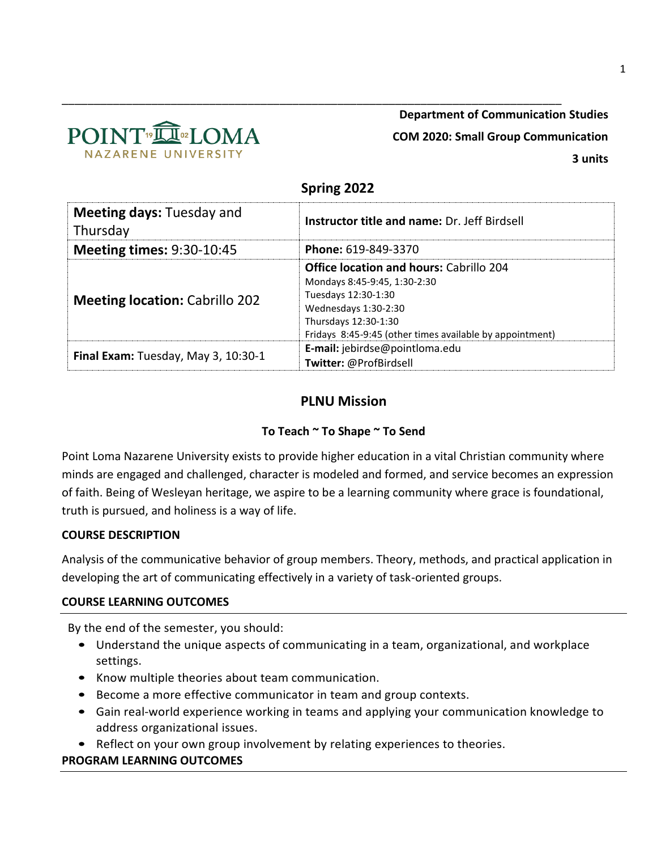

# **Department of Communication Studies**

**COM 2020: Small Group Communication**

# **Spring 2022**

\_\_\_\_\_\_\_\_\_\_\_\_\_\_\_\_\_\_\_\_\_\_\_\_\_\_\_\_\_\_\_\_\_\_\_\_\_\_\_\_\_\_\_\_\_\_\_\_\_\_\_\_\_\_\_\_\_\_\_\_\_\_\_\_\_\_\_\_\_\_\_\_\_\_\_\_\_\_

| <b>Meeting days: Tuesday and</b><br>Thursday | <b>Instructor title and name: Dr. Jeff Birdsell</b>                                                                                                                                                               |  |  |  |  |
|----------------------------------------------|-------------------------------------------------------------------------------------------------------------------------------------------------------------------------------------------------------------------|--|--|--|--|
| <b>Meeting times: 9:30-10:45</b>             | Phone: 619-849-3370                                                                                                                                                                                               |  |  |  |  |
| <b>Meeting location: Cabrillo 202</b>        | <b>Office location and hours: Cabrillo 204</b><br>Mondays 8:45-9:45, 1:30-2:30<br>Tuesdays 12:30-1:30<br>Wednesdays 1:30-2:30<br>Thursdays 12:30-1:30<br>Fridays 8:45-9:45 (other times available by appointment) |  |  |  |  |
| Final Exam: Tuesday, May 3, 10:30-1          | E-mail: jebirdse@pointloma.edu<br>Twitter: @ProfBirdsell                                                                                                                                                          |  |  |  |  |

# **PLNU Mission**

# **To Teach ~ To Shape ~ To Send**

Point Loma Nazarene University exists to provide higher education in a vital Christian community where minds are engaged and challenged, character is modeled and formed, and service becomes an expression of faith. Being of Wesleyan heritage, we aspire to be a learning community where grace is foundational, truth is pursued, and holiness is a way of life.

# **COURSE DESCRIPTION**

Analysis of the communicative behavior of group members. Theory, methods, and practical application in developing the art of communicating effectively in a variety of task-oriented groups.

# **COURSE LEARNING OUTCOMES**

By the end of the semester, you should:

- Understand the unique aspects of communicating in a team, organizational, and workplace settings.
- Know multiple theories about team communication.
- Become a more effective communicator in team and group contexts.
- Gain real-world experience working in teams and applying your communication knowledge to address organizational issues.
- Reflect on your own group involvement by relating experiences to theories.

# **PROGRAM LEARNING OUTCOMES**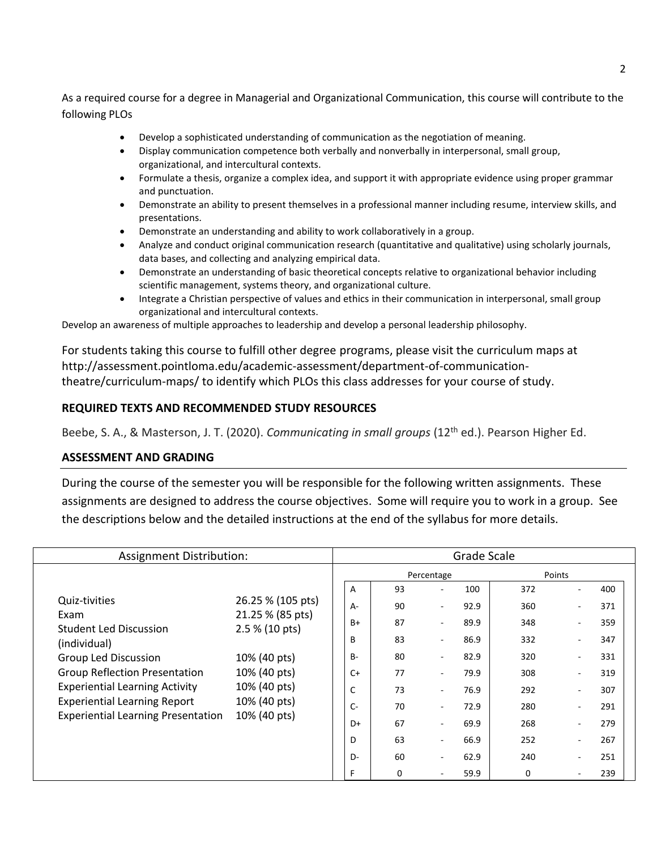As a required course for a degree in Managerial and Organizational Communication, this course will contribute to the following PLOs

- Develop a sophisticated understanding of communication as the negotiation of meaning.
- Display communication competence both verbally and nonverbally in interpersonal, small group, organizational, and intercultural contexts.
- Formulate a thesis, organize a complex idea, and support it with appropriate evidence using proper grammar and punctuation.
- Demonstrate an ability to present themselves in a professional manner including resume, interview skills, and presentations.
- Demonstrate an understanding and ability to work collaboratively in a group.
- Analyze and conduct original communication research (quantitative and qualitative) using scholarly journals, data bases, and collecting and analyzing empirical data.
- Demonstrate an understanding of basic theoretical concepts relative to organizational behavior including scientific management, systems theory, and organizational culture.
- Integrate a Christian perspective of values and ethics in their communication in interpersonal, small group organizational and intercultural contexts.

Develop an awareness of multiple approaches to leadership and develop a personal leadership philosophy.

For students taking this course to fulfill other degree programs, please visit the curriculum maps at http://assessment.pointloma.edu/academic-assessment/department-of-communicationtheatre/curriculum-maps/ to identify which PLOs this class addresses for your course of study.

# **REQUIRED TEXTS AND RECOMMENDED STUDY RESOURCES**

Beebe, S. A., & Masterson, J. T. (2020). *Communicating in small groups* (12th ed.). Pearson Higher Ed.

## **ASSESSMENT AND GRADING**

During the course of the semester you will be responsible for the following written assignments. These assignments are designed to address the course objectives. Some will require you to work in a group. See the descriptions below and the detailed instructions at the end of the syllabus for more details.

|                                                                                  | Assignment Distribution:                                                                                                                |                                                      |                   |                               | Grade Scale  |            |        |            |
|----------------------------------------------------------------------------------|-----------------------------------------------------------------------------------------------------------------------------------------|------------------------------------------------------|-------------------|-------------------------------|--------------|------------|--------|------------|
|                                                                                  |                                                                                                                                         |                                                      |                   | Percentage                    |              | Points     |        |            |
| Quiz-tivities                                                                    | 26.25 % (105 pts)<br>21.25 % (85 pts)<br>2.5 % (10 pts)<br>10% (40 pts)<br>10% (40 pts)<br>10% (40 pts)<br>10% (40 pts)<br>10% (40 pts) | A<br>А-                                              | 93<br>90          | ٠                             | 100<br>92.9  | 372<br>360 |        | 400<br>371 |
| Exam<br><b>Student Led Discussion</b>                                            |                                                                                                                                         | B+                                                   | 87                | ٠                             | 89.9         | 348        | $\sim$ | 359        |
| (individual)<br>Group Led Discussion                                             |                                                                                                                                         | B<br>B-                                              | 83<br>80          | $\overline{\phantom{a}}$<br>٠ | 86.9<br>82.9 | 332<br>320 |        | 347<br>331 |
| <b>Group Reflection Presentation</b><br><b>Experiential Learning Activity</b>    |                                                                                                                                         | $C+$<br>77<br>79.9<br>٠<br>C<br>73<br>76.9<br>$\sim$ | 308<br>292        | $\sim$                        | 319<br>307   |            |        |            |
| <b>Experiential Learning Report</b><br><b>Experiential Learning Presentation</b> |                                                                                                                                         | $C -$                                                | 70                |                               | 72.9         | 280        |        | 291        |
|                                                                                  |                                                                                                                                         | D+                                                   | 67                | ٠                             | 69.9         | 268        |        | 279        |
|                                                                                  |                                                                                                                                         | D                                                    | 63                | $\sim$                        | 66.9         | 252        | ٠      | 267        |
|                                                                                  |                                                                                                                                         | D-<br>F                                              | 60<br>$\mathbf 0$ | ۰                             | 62.9<br>59.9 | 240<br>0   |        | 251<br>239 |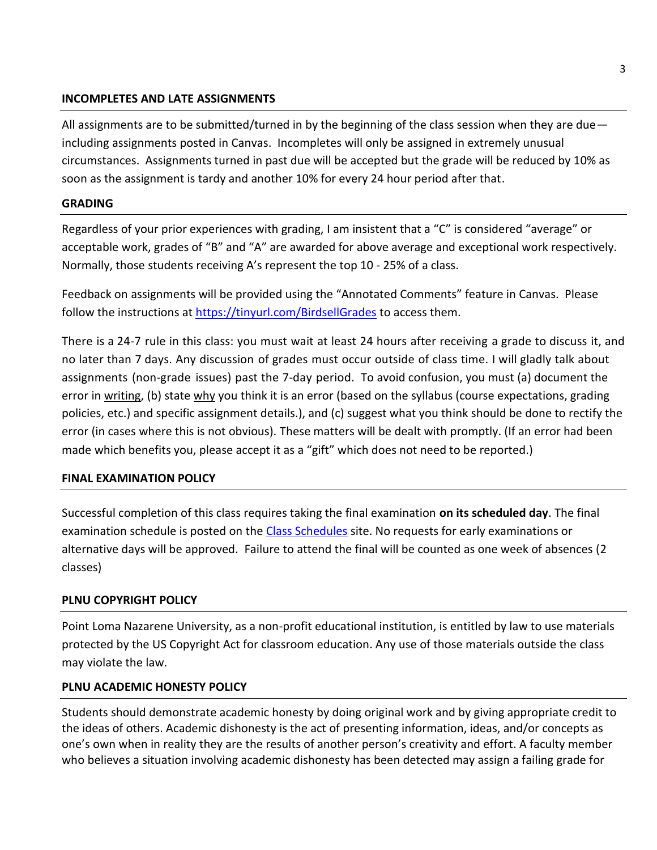#### **INCOMPLETES AND LATE ASSIGNMENTS**

All assignments are to be submitted/turned in by the beginning of the class session when they are due including assignments posted in Canvas. Incompletes will only be assigned in extremely unusual circumstances. Assignments turned in past due will be accepted but the grade will be reduced by 10% as soon as the assignment is tardy and another 10% for every 24 hour period after that.

## **GRADING**

Regardless of your prior experiences with grading, I am insistent that a "C" is considered "average" or acceptable work, grades of "B" and "A" are awarded for above average and exceptional work respectively. Normally, those students receiving A's represent the top 10 - 25% of a class.

Feedback on assignments will be provided using the "Annotated Comments" feature in Canvas. Please follow the instructions at<https://tinyurl.com/BirdsellGrades> to access them.

There is a 24-7 rule in this class: you must wait at least 24 hours after receiving a grade to discuss it, and no later than 7 days. Any discussion of grades must occur outside of class time. I will gladly talk about assignments (non-grade issues) past the 7-day period. To avoid confusion, you must (a) document the error in writing, (b) state why you think it is an error (based on the syllabus (course expectations, grading policies, etc.) and specific assignment details.), and (c) suggest what you think should be done to rectify the error (in cases where this is not obvious). These matters will be dealt with promptly. (If an error had been made which benefits you, please accept it as a "gift" which does not need to be reported.)

## **FINAL EXAMINATION POLICY**

Successful completion of this class requires taking the final examination **on its scheduled day**. The final examination schedule is posted on the [Class Schedules](http://www.pointloma.edu/experience/academics/class-schedules) site. No requests for early examinations or alternative days will be approved. Failure to attend the final will be counted as one week of absences (2 classes)

## **PLNU COPYRIGHT POLICY**

Point Loma Nazarene University, as a non-profit educational institution, is entitled by law to use materials protected by the US Copyright Act for classroom education. Any use of those materials outside the class may violate the law.

## **PLNU ACADEMIC HONESTY POLICY**

Students should demonstrate academic honesty by doing original work and by giving appropriate credit to the ideas of others. Academic dishonesty is the act of presenting information, ideas, and/or concepts as one's own when in reality they are the results of another person's creativity and effort. A faculty member who believes a situation involving academic dishonesty has been detected may assign a failing grade for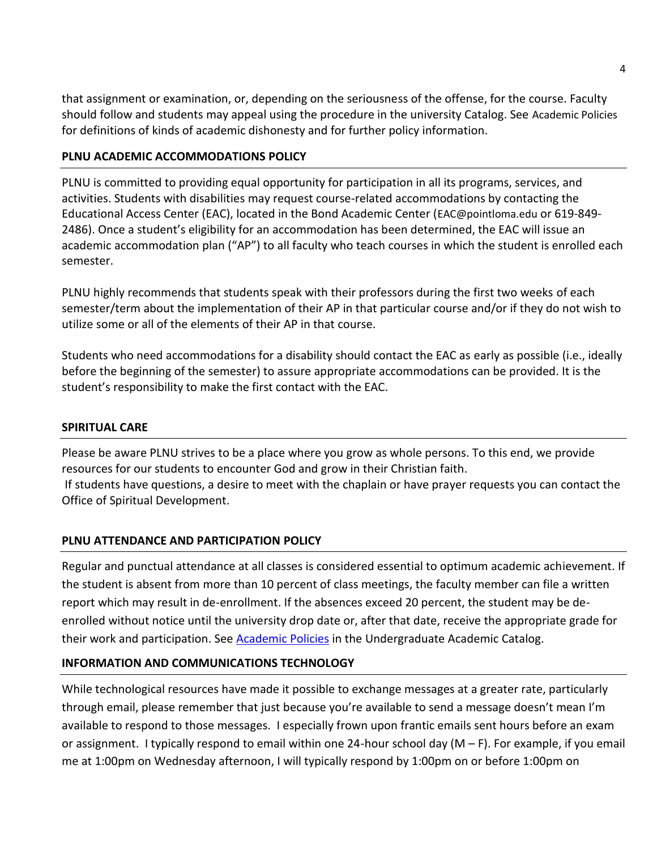that assignment or examination, or, depending on the seriousness of the offense, for the course. Faculty should follow and students may appeal using the procedure in the university Catalog. See [Academic Policies](https://catalog.pointloma.edu/content.php?catoid=52&navoid=2919#Academic_Honesty) for definitions of kinds of academic dishonesty and for further policy information.

# **PLNU ACADEMIC ACCOMMODATIONS POLICY**

PLNU is committed to providing equal opportunity for participation in all its programs, services, and activities. Students with disabilities may request course-related accommodations by contacting the Educational Access Center (EAC), located in the Bond Academic Center ([EAC@pointloma.edu](mailto:EAC@pointloma.edu) or 619-849- 2486). Once a student's eligibility for an accommodation has been determined, the EAC will issue an academic accommodation plan ("AP") to all faculty who teach courses in which the student is enrolled each semester.

PLNU highly recommends that students speak with their professors during the first two weeks of each semester/term about the implementation of their AP in that particular course and/or if they do not wish to utilize some or all of the elements of their AP in that course.

Students who need accommodations for a disability should contact the EAC as early as possible (i.e., ideally before the beginning of the semester) to assure appropriate accommodations can be provided. It is the student's responsibility to make the first contact with the EAC.

# **SPIRITUAL CARE**

Please be aware PLNU strives to be a place where you grow as whole persons. To this end, we provide resources for our students to encounter God and grow in their Christian faith. If students have questions, a desire to meet with the chaplain or have prayer requests you can contact the Office of Spiritual Development.

# **PLNU ATTENDANCE AND PARTICIPATION POLICY**

Regular and punctual attendance at all classes is considered essential to optimum academic achievement. If the student is absent from more than 10 percent of class meetings, the faculty member can file a written report which may result in de-enrollment. If the absences exceed 20 percent, the student may be deenrolled without notice until the university drop date or, after that date, receive the appropriate grade for their work and participation. See **Academic Policies** in the Undergraduate Academic Catalog.

# **INFORMATION AND COMMUNICATIONS TECHNOLOGY**

While technological resources have made it possible to exchange messages at a greater rate, particularly through email, please remember that just because you're available to send a message doesn't mean I'm available to respond to those messages. I especially frown upon frantic emails sent hours before an exam or assignment. I typically respond to email within one 24-hour school day (M – F). For example, if you email me at 1:00pm on Wednesday afternoon, I will typically respond by 1:00pm on or before 1:00pm on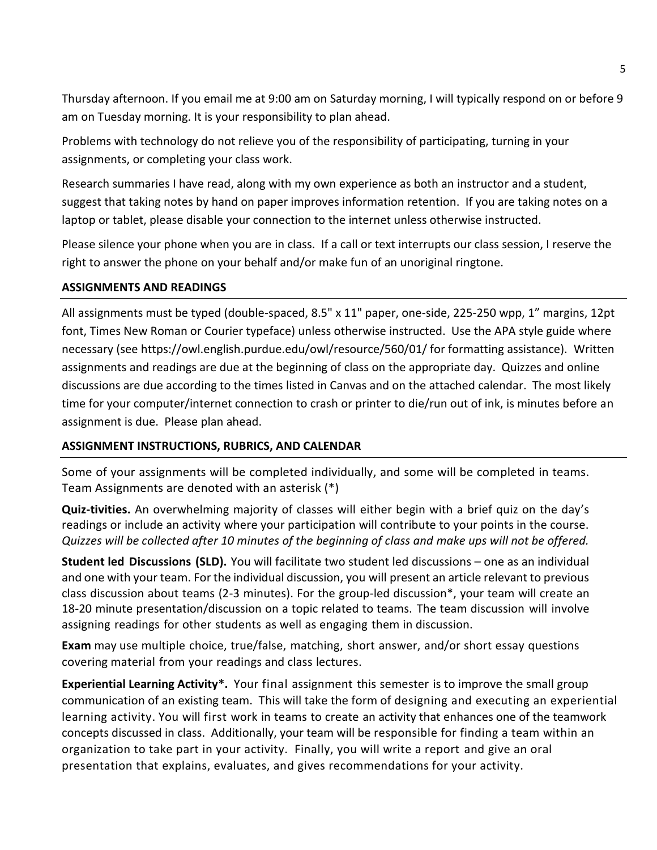Thursday afternoon. If you email me at 9:00 am on Saturday morning, I will typically respond on or before 9 am on Tuesday morning. It is your responsibility to plan ahead.

Problems with technology do not relieve you of the responsibility of participating, turning in your assignments, or completing your class work.

Research summaries I have read, along with my own experience as both an instructor and a student, suggest that taking notes by hand on paper improves information retention. If you are taking notes on a laptop or tablet, please disable your connection to the internet unless otherwise instructed.

Please silence your phone when you are in class. If a call or text interrupts our class session, I reserve the right to answer the phone on your behalf and/or make fun of an unoriginal ringtone.

# **ASSIGNMENTS AND READINGS**

All assignments must be typed (double-spaced, 8.5" x 11" paper, one-side, 225-250 wpp, 1" margins, 12pt font, Times New Roman or Courier typeface) unless otherwise instructed. Use the APA style guide where necessary (see https://owl.english.purdue.edu/owl/resource/560/01/ for formatting assistance). Written assignments and readings are due at the beginning of class on the appropriate day. Quizzes and online discussions are due according to the times listed in Canvas and on the attached calendar. The most likely time for your computer/internet connection to crash or printer to die/run out of ink, is minutes before an assignment is due. Please plan ahead.

# **ASSIGNMENT INSTRUCTIONS, RUBRICS, AND CALENDAR**

Some of your assignments will be completed individually, and some will be completed in teams. Team Assignments are denoted with an asterisk (\*)

**Quiz-tivities.** An overwhelming majority of classes will either begin with a brief quiz on the day's readings or include an activity where your participation will contribute to your points in the course. *Quizzes will be collected after 10 minutes of the beginning of class and make ups will not be offered.*

**Student led Discussions (SLD).** You will facilitate two student led discussions – one as an individual and one with your team. For the individual discussion, you will present an article relevant to previous class discussion about teams (2-3 minutes). For the group-led discussion\*, your team will create an 18-20 minute presentation/discussion on a topic related to teams. The team discussion will involve assigning readings for other students as well as engaging them in discussion.

**Exam** may use multiple choice, true/false, matching, short answer, and/or short essay questions covering material from your readings and class lectures.

**Experiential Learning Activity\*.** Your final assignment this semester is to improve the small group communication of an existing team. This will take the form of designing and executing an experiential learning activity. You will first work in teams to create an activity that enhances one of the teamwork concepts discussed in class. Additionally, your team will be responsible for finding a team within an organization to take part in your activity. Finally, you will write a report and give an oral presentation that explains, evaluates, and gives recommendations for your activity.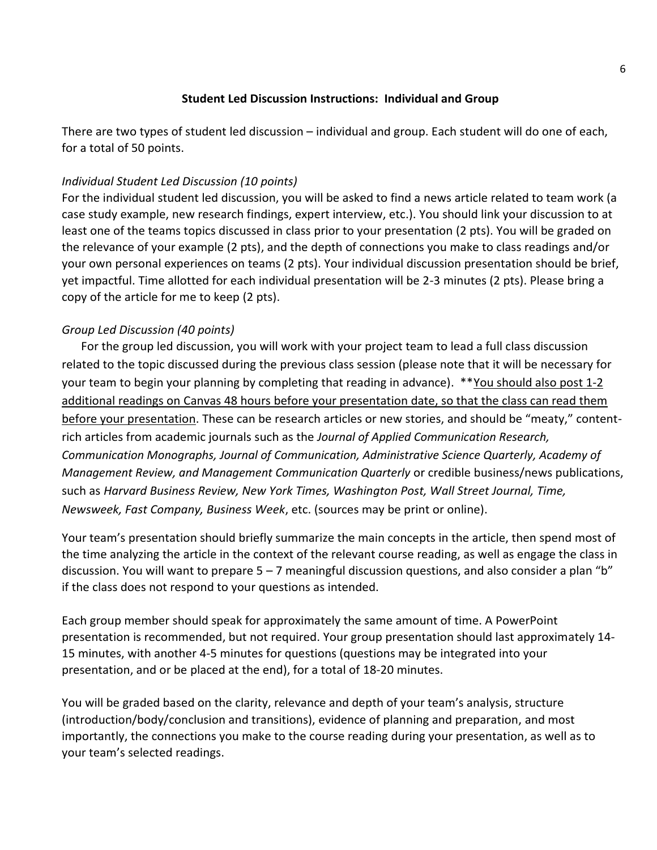# **Student Led Discussion Instructions: Individual and Group**

There are two types of student led discussion – individual and group. Each student will do one of each, for a total of 50 points.

# *Individual Student Led Discussion (10 points)*

For the individual student led discussion, you will be asked to find a news article related to team work (a case study example, new research findings, expert interview, etc.). You should link your discussion to at least one of the teams topics discussed in class prior to your presentation (2 pts). You will be graded on the relevance of your example (2 pts), and the depth of connections you make to class readings and/or your own personal experiences on teams (2 pts). Your individual discussion presentation should be brief, yet impactful. Time allotted for each individual presentation will be 2-3 minutes (2 pts). Please bring a copy of the article for me to keep (2 pts).

# *Group Led Discussion (40 points)*

For the group led discussion, you will work with your project team to lead a full class discussion related to the topic discussed during the previous class session (please note that it will be necessary for your team to begin your planning by completing that reading in advance). \*\*You should also post 1-2 additional readings on Canvas 48 hours before your presentation date, so that the class can read them before your presentation. These can be research articles or new stories, and should be "meaty," contentrich articles from academic journals such as the *Journal of Applied Communication Research, Communication Monographs, Journal of Communication, Administrative Science Quarterly, Academy of Management Review, and Management Communication Quarterly* or credible business/news publications, such as *Harvard Business Review, New York Times, Washington Post, Wall Street Journal, Time, Newsweek, Fast Company, Business Week*, etc. (sources may be print or online).

Your team's presentation should briefly summarize the main concepts in the article, then spend most of the time analyzing the article in the context of the relevant course reading, as well as engage the class in discussion. You will want to prepare 5 – 7 meaningful discussion questions, and also consider a plan "b" if the class does not respond to your questions as intended.

Each group member should speak for approximately the same amount of time. A PowerPoint presentation is recommended, but not required. Your group presentation should last approximately 14- 15 minutes, with another 4-5 minutes for questions (questions may be integrated into your presentation, and or be placed at the end), for a total of 18-20 minutes.

You will be graded based on the clarity, relevance and depth of your team's analysis, structure (introduction/body/conclusion and transitions), evidence of planning and preparation, and most importantly, the connections you make to the course reading during your presentation, as well as to your team's selected readings.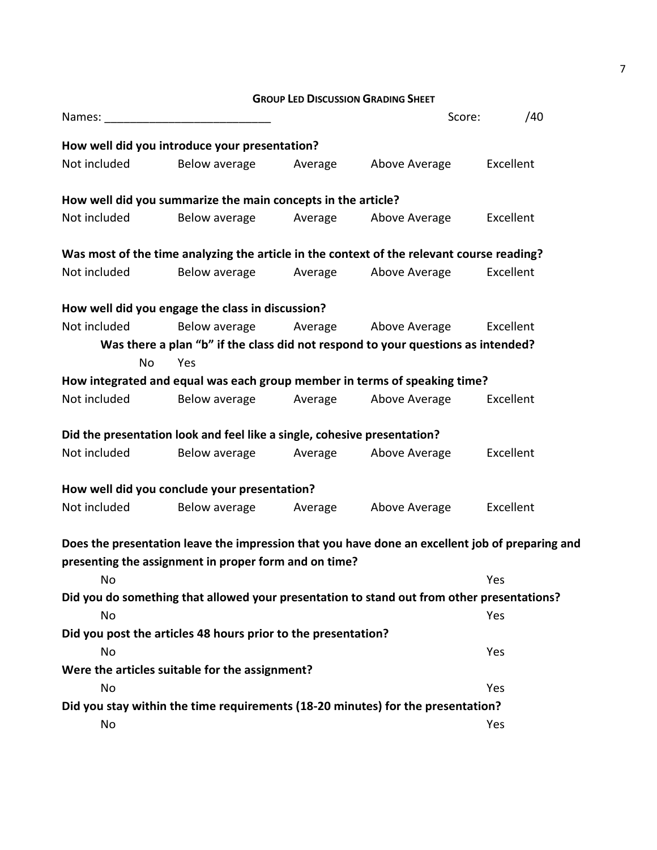**GROUP LED DISCUSSION GRADING SHEET**

|                                                                                 |                                                                          |         | Score:                                                                                          | /40       |  |
|---------------------------------------------------------------------------------|--------------------------------------------------------------------------|---------|-------------------------------------------------------------------------------------------------|-----------|--|
|                                                                                 | How well did you introduce your presentation?                            |         |                                                                                                 |           |  |
| Not included                                                                    | Below average                                                            | Average | Above Average                                                                                   | Excellent |  |
|                                                                                 | How well did you summarize the main concepts in the article?             |         |                                                                                                 |           |  |
| Not included                                                                    | Below average                                                            | Average | Above Average                                                                                   | Excellent |  |
|                                                                                 |                                                                          |         | Was most of the time analyzing the article in the context of the relevant course reading?       |           |  |
| Not included                                                                    | Below average                                                            | Average | Above Average                                                                                   | Excellent |  |
|                                                                                 |                                                                          |         |                                                                                                 |           |  |
|                                                                                 | How well did you engage the class in discussion?                         |         |                                                                                                 |           |  |
| Not included                                                                    | Below average                                                            | Average | Above Average                                                                                   | Excellent |  |
|                                                                                 |                                                                          |         | Was there a plan "b" if the class did not respond to your questions as intended?                |           |  |
| No                                                                              | Yes                                                                      |         |                                                                                                 |           |  |
|                                                                                 |                                                                          |         | How integrated and equal was each group member in terms of speaking time?                       |           |  |
| Not included                                                                    | Below average                                                            | Average | Above Average                                                                                   | Excellent |  |
|                                                                                 |                                                                          |         |                                                                                                 |           |  |
|                                                                                 | Did the presentation look and feel like a single, cohesive presentation? |         |                                                                                                 |           |  |
| Not included                                                                    | Below average                                                            | Average | Above Average                                                                                   | Excellent |  |
|                                                                                 | How well did you conclude your presentation?                             |         |                                                                                                 |           |  |
| Not included                                                                    | Below average                                                            | Average | Above Average                                                                                   | Excellent |  |
|                                                                                 |                                                                          |         | Does the presentation leave the impression that you have done an excellent job of preparing and |           |  |
|                                                                                 |                                                                          |         |                                                                                                 |           |  |
| No                                                                              | presenting the assignment in proper form and on time?                    |         |                                                                                                 | Yes       |  |
|                                                                                 |                                                                          |         | Did you do something that allowed your presentation to stand out from other presentations?      |           |  |
| No                                                                              |                                                                          |         |                                                                                                 | Yes       |  |
|                                                                                 | Did you post the articles 48 hours prior to the presentation?            |         |                                                                                                 |           |  |
| No                                                                              |                                                                          |         |                                                                                                 | Yes       |  |
|                                                                                 | Were the articles suitable for the assignment?                           |         |                                                                                                 |           |  |
| No                                                                              |                                                                          |         |                                                                                                 | Yes       |  |
| Did you stay within the time requirements (18-20 minutes) for the presentation? |                                                                          |         |                                                                                                 |           |  |
| No                                                                              |                                                                          |         |                                                                                                 | Yes       |  |
|                                                                                 |                                                                          |         |                                                                                                 |           |  |

7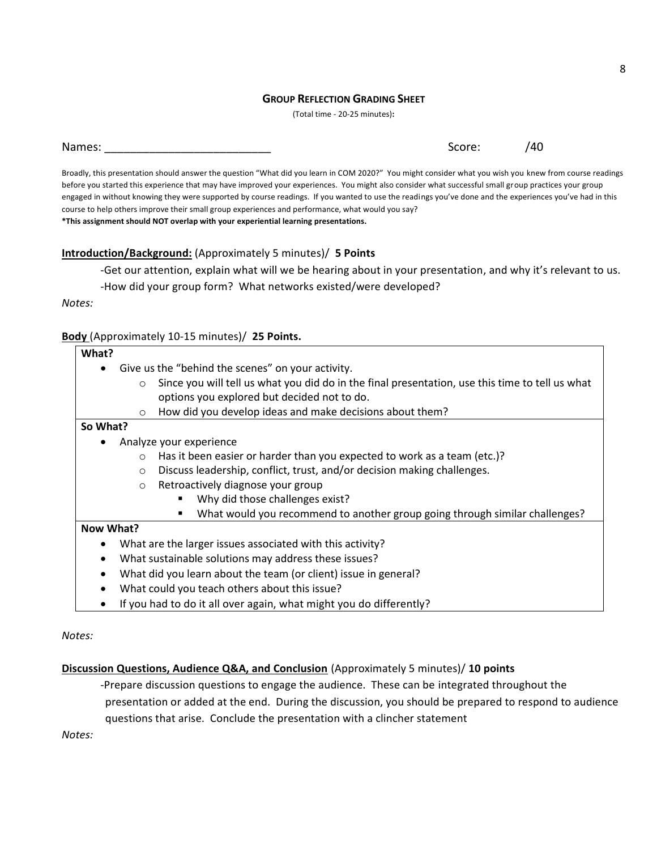#### **GROUP REFLECTION GRADING SHEET**

(Total time - 20-25 minutes)**:**

Broadly, this presentation should answer the question "What did you learn in COM 2020?" You might consider what you wish you knew from course readings before you started this experience that may have improved your experiences. You might also consider what successful small group practices your group engaged in without knowing they were supported by course readings. If you wanted to use the readings you've done and the experiences you've had in this course to help others improve their small group experiences and performance, what would you say? **\*This assignment should NOT overlap with your experiential learning presentations.**

#### **Introduction/Background:** (Approximately 5 minutes)/ **5 Points**

-Get our attention, explain what will we be hearing about in your presentation, and why it's relevant to us.

-How did your group form? What networks existed/were developed?

*Notes:*

#### **Body** (Approximately 10-15 minutes)/ **25 Points.**

| What?                                                     |                                                                                                            |  |  |  |  |  |
|-----------------------------------------------------------|------------------------------------------------------------------------------------------------------------|--|--|--|--|--|
|                                                           | Give us the "behind the scenes" on your activity.                                                          |  |  |  |  |  |
|                                                           | Since you will tell us what you did do in the final presentation, use this time to tell us what<br>$\circ$ |  |  |  |  |  |
|                                                           | options you explored but decided not to do.                                                                |  |  |  |  |  |
|                                                           | How did you develop ideas and make decisions about them?<br>$\circ$                                        |  |  |  |  |  |
| So What?                                                  |                                                                                                            |  |  |  |  |  |
|                                                           | Analyze your experience                                                                                    |  |  |  |  |  |
|                                                           | Has it been easier or harder than you expected to work as a team (etc.)?<br>$\circ$                        |  |  |  |  |  |
|                                                           | Discuss leadership, conflict, trust, and/or decision making challenges.<br>$\circ$                         |  |  |  |  |  |
|                                                           | Retroactively diagnose your group<br>$\circ$                                                               |  |  |  |  |  |
|                                                           | Why did those challenges exist?                                                                            |  |  |  |  |  |
|                                                           | What would you recommend to another group going through similar challenges?                                |  |  |  |  |  |
| Now What?                                                 |                                                                                                            |  |  |  |  |  |
| What are the larger issues associated with this activity? |                                                                                                            |  |  |  |  |  |
| What sustainable solutions may address these issues?      |                                                                                                            |  |  |  |  |  |
| ٠                                                         | What did you learn about the team (or client) issue in general?                                            |  |  |  |  |  |
|                                                           | What could you teach others about this issue?                                                              |  |  |  |  |  |

• If you had to do it all over again, what might you do differently?

*Notes:*

#### **Discussion Questions, Audience Q&A, and Conclusion** (Approximately 5 minutes)/ **10 points**

-Prepare discussion questions to engage the audience. These can be integrated throughout the presentation or added at the end. During the discussion, you should be prepared to respond to audience questions that arise. Conclude the presentation with a clincher statement

*Notes:*

Names: \_\_\_\_\_\_\_\_\_\_\_\_\_\_\_\_\_\_\_\_\_\_\_\_\_\_ Score: /40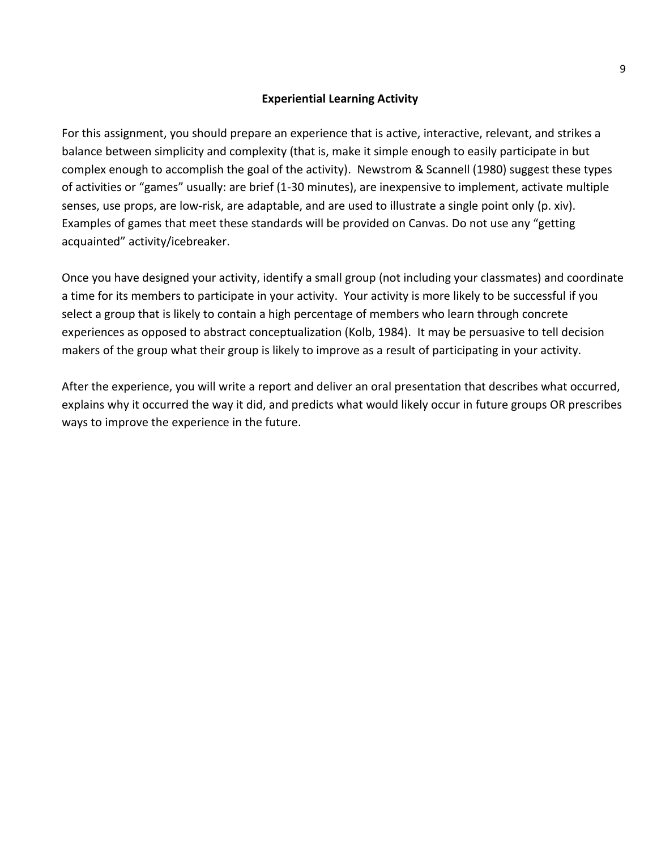#### **Experiential Learning Activity**

For this assignment, you should prepare an experience that is active, interactive, relevant, and strikes a balance between simplicity and complexity (that is, make it simple enough to easily participate in but complex enough to accomplish the goal of the activity). Newstrom & Scannell (1980) suggest these types of activities or "games" usually: are brief (1-30 minutes), are inexpensive to implement, activate multiple senses, use props, are low-risk, are adaptable, and are used to illustrate a single point only (p. xiv). Examples of games that meet these standards will be provided on Canvas. Do not use any "getting acquainted" activity/icebreaker.

Once you have designed your activity, identify a small group (not including your classmates) and coordinate a time for its members to participate in your activity. Your activity is more likely to be successful if you select a group that is likely to contain a high percentage of members who learn through concrete experiences as opposed to abstract conceptualization (Kolb, 1984). It may be persuasive to tell decision makers of the group what their group is likely to improve as a result of participating in your activity.

After the experience, you will write a report and deliver an oral presentation that describes what occurred, explains why it occurred the way it did, and predicts what would likely occur in future groups OR prescribes ways to improve the experience in the future.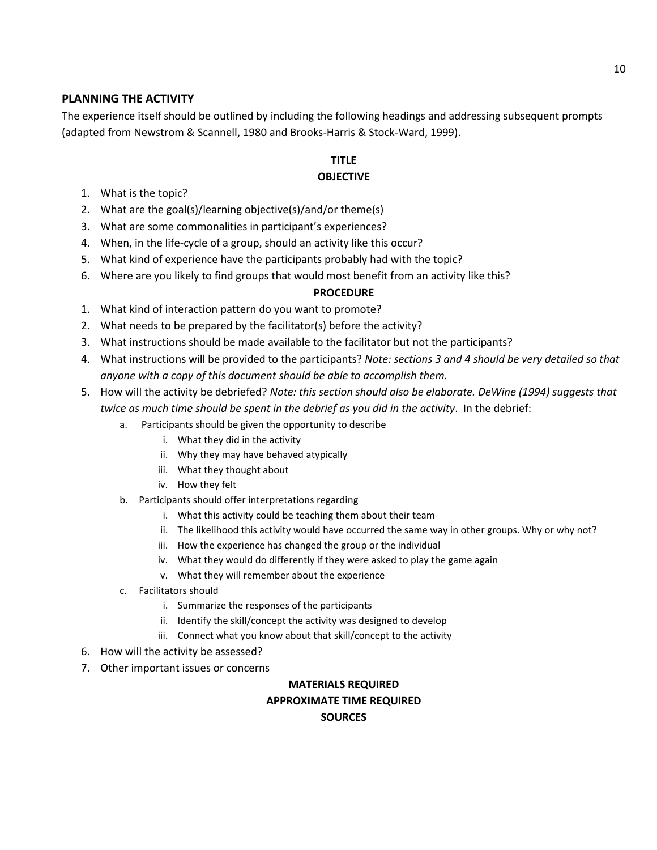## **PLANNING THE ACTIVITY**

The experience itself should be outlined by including the following headings and addressing subsequent prompts (adapted from Newstrom & Scannell, 1980 and Brooks-Harris & Stock-Ward, 1999).

#### **TITLE OBJECTIVE**

- 1. What is the topic?
- 2. What are the goal(s)/learning objective(s)/and/or theme(s)
- 3. What are some commonalities in participant's experiences?
- 4. When, in the life-cycle of a group, should an activity like this occur?
- 5. What kind of experience have the participants probably had with the topic?
- 6. Where are you likely to find groups that would most benefit from an activity like this?

#### **PROCEDURE**

- 1. What kind of interaction pattern do you want to promote?
- 2. What needs to be prepared by the facilitator(s) before the activity?
- 3. What instructions should be made available to the facilitator but not the participants?
- 4. What instructions will be provided to the participants? *Note: sections 3 and 4 should be very detailed so that anyone with a copy of this document should be able to accomplish them.*
- 5. How will the activity be debriefed? *Note: this section should also be elaborate. DeWine (1994) suggests that twice as much time should be spent in the debrief as you did in the activity*. In the debrief:
	- a. Participants should be given the opportunity to describe
		- i. What they did in the activity
		- ii. Why they may have behaved atypically
		- iii. What they thought about
		- iv. How they felt
	- b. Participants should offer interpretations regarding
		- i. What this activity could be teaching them about their team
		- ii. The likelihood this activity would have occurred the same way in other groups. Why or why not?
		- iii. How the experience has changed the group or the individual
		- iv. What they would do differently if they were asked to play the game again
		- v. What they will remember about the experience
	- c. Facilitators should
		- i. Summarize the responses of the participants
		- ii. Identify the skill/concept the activity was designed to develop
		- iii. Connect what you know about that skill/concept to the activity
- 6. How will the activity be assessed?
- 7. Other important issues or concerns

# **MATERIALS REQUIRED APPROXIMATE TIME REQUIRED**

**SOURCES**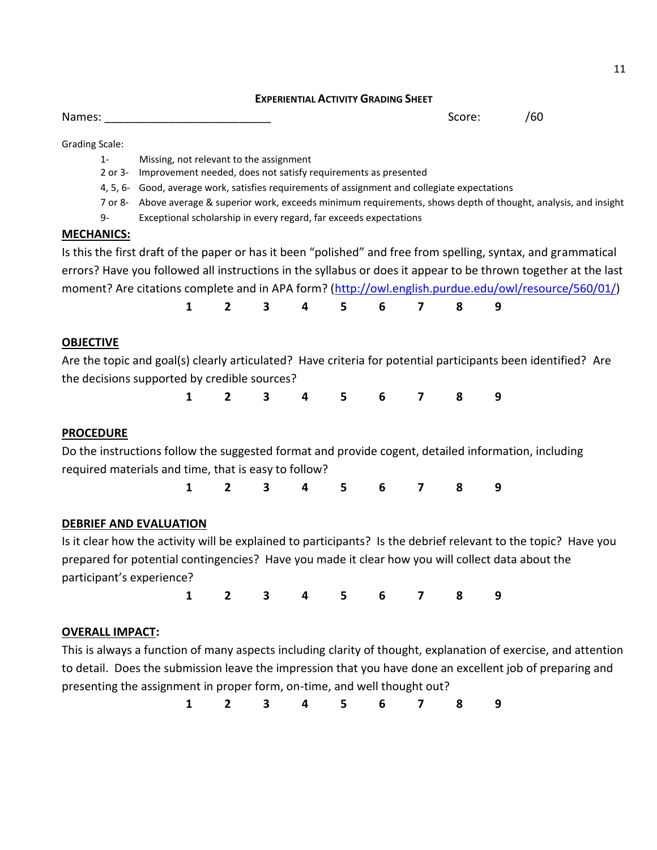#### **EXPERIENTIAL ACTIVITY GRADING SHEET**

Names: \_\_\_\_\_\_\_\_\_\_\_\_\_\_\_\_\_\_\_\_\_\_\_\_\_\_ Score: /60

Grading Scale:

- 1- Missing, not relevant to the assignment
- 2 or 3- Improvement needed, does not satisfy requirements as presented
- 4, 5, 6- Good, average work, satisfies requirements of assignment and collegiate expectations
- 7 or 8- Above average & superior work, exceeds minimum requirements, shows depth of thought, analysis, and insight
- 9- Exceptional scholarship in every regard, far exceeds expectations

#### **MECHANICS:**

Is this the first draft of the paper or has it been "polished" and free from spelling, syntax, and grammatical errors? Have you followed all instructions in the syllabus or does it appear to be thrown together at the last moment? Are citations complete and in APA form? [\(http://owl.english.purdue.edu/owl/resource/560/01/\)](http://owl.english.purdue.edu/owl/resource/560/01/)

|  |  |  | 1 2 3 4 5 6 7 8 9 |  |
|--|--|--|-------------------|--|
|  |  |  |                   |  |

## **OBJECTIVE**

Are the topic and goal(s) clearly articulated? Have criteria for potential participants been identified? Are the decisions supported by credible sources?

**1 2 3 4 5 6 7 8 9**

#### **PROCEDURE**

Do the instructions follow the suggested format and provide cogent, detailed information, including required materials and time, that is easy to follow?

**1 2 3 4 5 6 7 8 9**

## **DEBRIEF AND EVALUATION**

Is it clear how the activity will be explained to participants? Is the debrief relevant to the topic? Have you prepared for potential contingencies? Have you made it clear how you will collect data about the participant's experience?

**1 2 3 4 5 6 7 8 9**

## **OVERALL IMPACT:**

This is always a function of many aspects including clarity of thought, explanation of exercise, and attention to detail. Does the submission leave the impression that you have done an excellent job of preparing and presenting the assignment in proper form, on-time, and well thought out?

**1 2 3 4 5 6 7 8 9**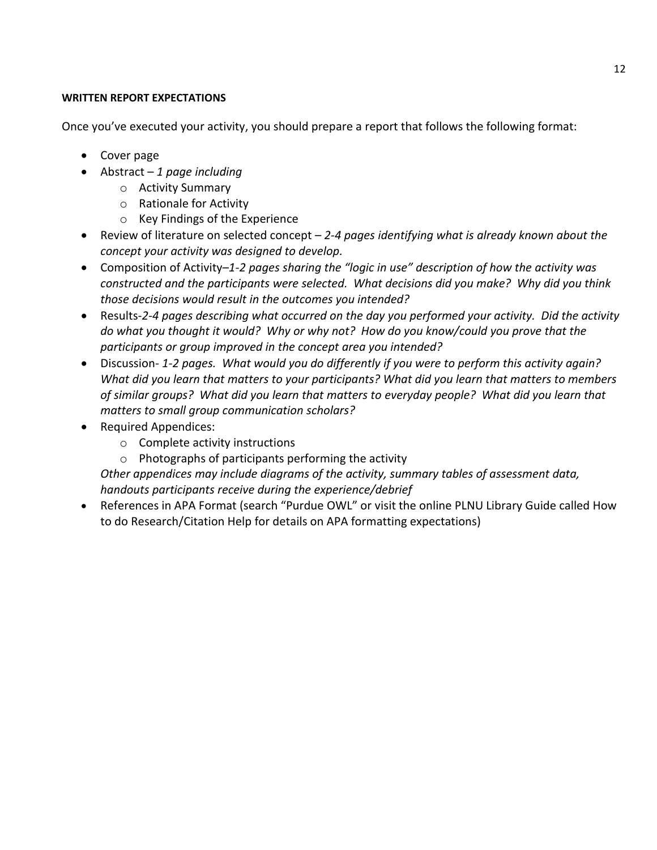## **WRITTEN REPORT EXPECTATIONS**

Once you've executed your activity, you should prepare a report that follows the following format:

- Cover page
- Abstract *1 page including*
	- o Activity Summary
	- o Rationale for Activity
	- o Key Findings of the Experience
- Review of literature on selected concept *2-4 pages identifying what is already known about the concept your activity was designed to develop.*
- Composition of Activity–*1-2 pages sharing the "logic in use" description of how the activity was constructed and the participants were selected. What decisions did you make? Why did you think those decisions would result in the outcomes you intended?*
- Results-*2-4 pages describing what occurred on the day you performed your activity. Did the activity do what you thought it would? Why or why not? How do you know/could you prove that the participants or group improved in the concept area you intended?*
- Discussion- *1-2 pages. What would you do differently if you were to perform this activity again? What did you learn that matters to your participants? What did you learn that matters to members of similar groups? What did you learn that matters to everyday people? What did you learn that matters to small group communication scholars?*
- Required Appendices:
	- o Complete activity instructions
	- o Photographs of participants performing the activity

*Other appendices may include diagrams of the activity, summary tables of assessment data, handouts participants receive during the experience/debrief*

 References in APA Format (search "Purdue OWL" or visit the online PLNU Library Guide called How to do Research/Citation Help for details on APA formatting expectations)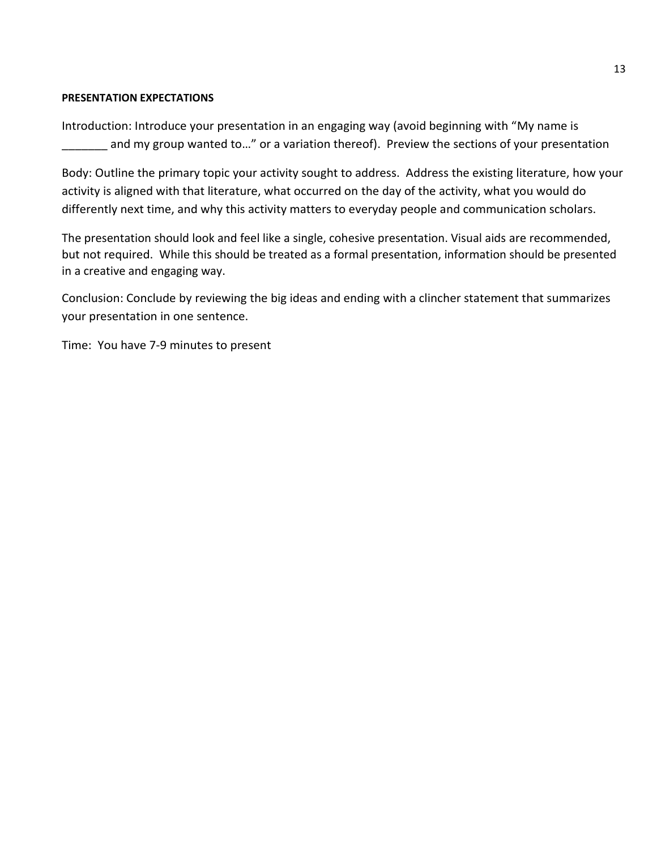#### **PRESENTATION EXPECTATIONS**

Introduction: Introduce your presentation in an engaging way (avoid beginning with "My name is and my group wanted to..." or a variation thereof). Preview the sections of your presentation

Body: Outline the primary topic your activity sought to address. Address the existing literature, how your activity is aligned with that literature, what occurred on the day of the activity, what you would do differently next time, and why this activity matters to everyday people and communication scholars.

The presentation should look and feel like a single, cohesive presentation. Visual aids are recommended, but not required. While this should be treated as a formal presentation, information should be presented in a creative and engaging way.

Conclusion: Conclude by reviewing the big ideas and ending with a clincher statement that summarizes your presentation in one sentence.

Time: You have 7-9 minutes to present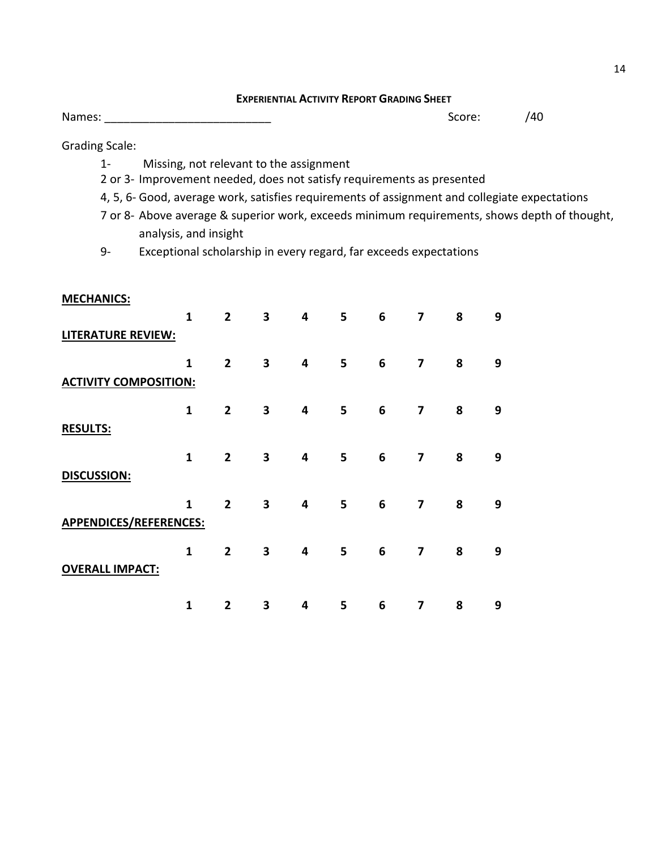| <b>EXPERIENTIAL ACTIVITY REPORT GRADING SHEET</b> |  |
|---------------------------------------------------|--|
|---------------------------------------------------|--|

Names: \_\_\_\_\_\_\_\_\_\_\_\_\_\_\_\_\_\_\_\_\_\_\_\_\_\_ Score: /40

Grading Scale:

- 1- Missing, not relevant to the assignment
- 2 or 3- Improvement needed, does not satisfy requirements as presented
- 4, 5, 6- Good, average work, satisfies requirements of assignment and collegiate expectations
- 7 or 8- Above average & superior work, exceeds minimum requirements, shows depth of thought, analysis, and insight
- 9- Exceptional scholarship in every regard, far exceeds expectations

| <b>MECHANICS:</b>            |              |                |   |   |   |   |                         |   |   |
|------------------------------|--------------|----------------|---|---|---|---|-------------------------|---|---|
|                              | $\mathbf{1}$ | $\overline{2}$ | 3 | 4 | 5 | 6 | $\overline{\mathbf{z}}$ | 8 | 9 |
| <b>LITERATURE REVIEW:</b>    |              |                |   |   |   |   |                         |   |   |
|                              | $\mathbf{1}$ | $\overline{2}$ | 3 | 4 | 5 | 6 | $\overline{\mathbf{z}}$ | 8 | 9 |
| <b>ACTIVITY COMPOSITION:</b> |              |                |   |   |   |   |                         |   |   |
|                              | $\mathbf{1}$ | $\overline{2}$ | 3 | 4 | 5 | 6 | 7                       | 8 | 9 |
| <b>RESULTS:</b>              |              |                |   |   |   |   |                         |   |   |
|                              | $\mathbf{1}$ | $\overline{2}$ | 3 | 4 | 5 | 6 | $\overline{\mathbf{z}}$ | 8 | 9 |
| <b>DISCUSSION:</b>           |              |                |   |   |   |   |                         |   |   |
|                              | $\mathbf{1}$ | $\overline{2}$ | 3 | 4 | 5 | 6 | $\overline{\mathbf{z}}$ | 8 | 9 |
| APPENDICES/REFERENCES:       |              |                |   |   |   |   |                         |   |   |
|                              | $\mathbf{1}$ | $\overline{2}$ | 3 | 4 | 5 | 6 | $\overline{7}$          | 8 | 9 |
| <b>OVERALL IMPACT:</b>       |              |                |   |   |   |   |                         |   |   |
|                              |              |                |   |   |   |   |                         |   |   |
|                              | $\mathbf{1}$ | $\overline{2}$ | 3 | 4 | 5 | 6 | 7                       | 8 | 9 |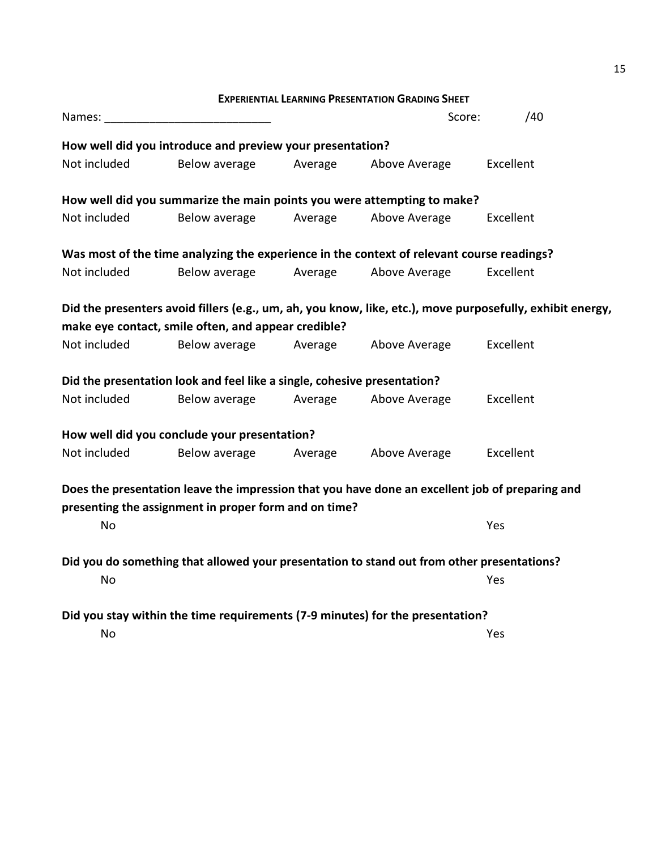|              |                                                                                                           |         | <b>EXPERIENTIAL LEARNING PRESENTATION GRADING SHEET</b> |           |  |
|--------------|-----------------------------------------------------------------------------------------------------------|---------|---------------------------------------------------------|-----------|--|
| Names:       |                                                                                                           |         | Score:                                                  | /40       |  |
|              | How well did you introduce and preview your presentation?                                                 |         |                                                         |           |  |
| Not included | Below average                                                                                             | Average | Above Average                                           | Excellent |  |
|              | How well did you summarize the main points you were attempting to make?                                   |         |                                                         |           |  |
| Not included | Below average                                                                                             | Average | Above Average                                           | Excellent |  |
|              | Was most of the time analyzing the experience in the context of relevant course readings?                 |         |                                                         |           |  |
| Not included | Below average                                                                                             | Average | Above Average                                           | Excellent |  |
|              | Did the presenters avoid fillers (e.g., um, ah, you know, like, etc.), move purposefully, exhibit energy, |         |                                                         |           |  |
|              | make eye contact, smile often, and appear credible?                                                       |         |                                                         |           |  |
| Not included | Below average                                                                                             | Average | Above Average                                           | Excellent |  |
|              | Did the presentation look and feel like a single, cohesive presentation?                                  |         |                                                         |           |  |
| Not included | Below average                                                                                             | Average | Above Average                                           | Excellent |  |
|              | How well did you conclude your presentation?                                                              |         |                                                         |           |  |
| Not included | Below average                                                                                             | Average | Above Average                                           | Excellent |  |
|              | Does the presentation leave the impression that you have done an excellent job of preparing and           |         |                                                         |           |  |
|              | presenting the assignment in proper form and on time?                                                     |         |                                                         |           |  |
| <b>No</b>    |                                                                                                           |         |                                                         | Yes       |  |
|              | Did you do something that allowed your presentation to stand out from other presentations?                |         |                                                         |           |  |
| No           |                                                                                                           |         |                                                         | Yes       |  |
|              | Did you stay within the time requirements (7-9 minutes) for the presentation?                             |         |                                                         |           |  |
| <b>No</b>    |                                                                                                           |         |                                                         | Yes       |  |

15